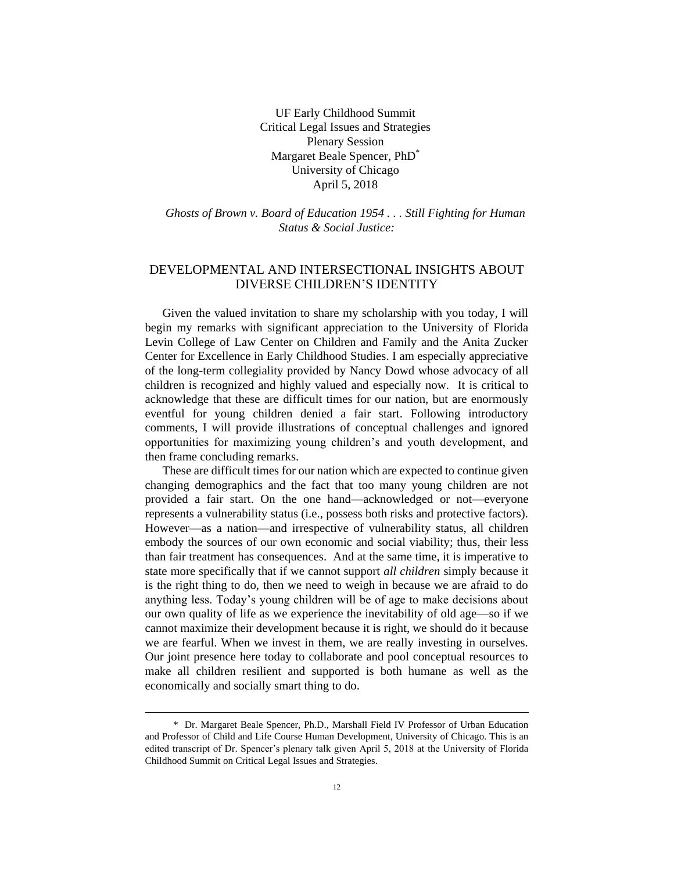UF Early Childhood Summit Critical Legal Issues and Strategies Plenary Session Margaret Beale Spencer, PhD\* University of Chicago April 5, 2018

*Ghosts of Brown v. Board of Education 1954 . . . Still Fighting for Human Status & Social Justice:*

# DEVELOPMENTAL AND INTERSECTIONAL INSIGHTS ABOUT DIVERSE CHILDREN'S IDENTITY

Given the valued invitation to share my scholarship with you today, I will begin my remarks with significant appreciation to the University of Florida Levin College of Law Center on Children and Family and the Anita Zucker Center for Excellence in Early Childhood Studies. I am especially appreciative of the long-term collegiality provided by Nancy Dowd whose advocacy of all children is recognized and highly valued and especially now. It is critical to acknowledge that these are difficult times for our nation, but are enormously eventful for young children denied a fair start. Following introductory comments, I will provide illustrations of conceptual challenges and ignored opportunities for maximizing young children's and youth development, and then frame concluding remarks.

These are difficult times for our nation which are expected to continue given changing demographics and the fact that too many young children are not provided a fair start. On the one hand—acknowledged or not—everyone represents a vulnerability status (i.e., possess both risks and protective factors). However—as a nation—and irrespective of vulnerability status, all children embody the sources of our own economic and social viability; thus, their less than fair treatment has consequences. And at the same time, it is imperative to state more specifically that if we cannot support *all children* simply because it is the right thing to do, then we need to weigh in because we are afraid to do anything less. Today's young children will be of age to make decisions about our own quality of life as we experience the inevitability of old age—so if we cannot maximize their development because it is right, we should do it because we are fearful. When we invest in them, we are really investing in ourselves. Our joint presence here today to collaborate and pool conceptual resources to make all children resilient and supported is both humane as well as the economically and socially smart thing to do.

<sup>\*</sup> Dr. Margaret Beale Spencer, Ph.D., Marshall Field IV Professor of Urban Education and Professor of Child and Life Course Human Development, University of Chicago. This is an edited transcript of Dr. Spencer's plenary talk given April 5, 2018 at the University of Florida Childhood Summit on Critical Legal Issues and Strategies.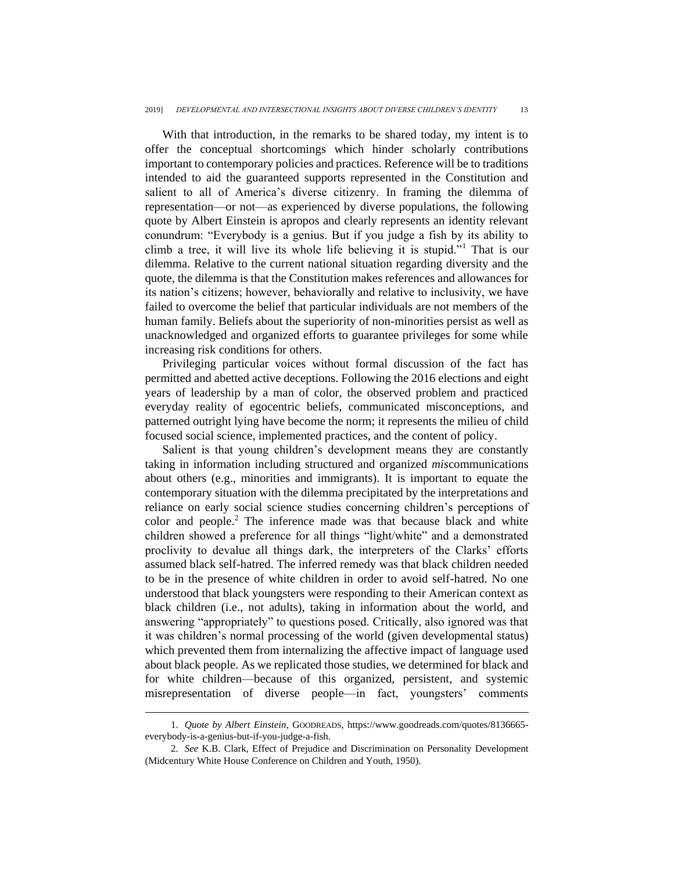With that introduction, in the remarks to be shared today, my intent is to offer the conceptual shortcomings which hinder scholarly contributions important to contemporary policies and practices. Reference will be to traditions intended to aid the guaranteed supports represented in the Constitution and salient to all of America's diverse citizenry. In framing the dilemma of representation—or not—as experienced by diverse populations, the following quote by Albert Einstein is apropos and clearly represents an identity relevant conundrum: "Everybody is a genius. But if you judge a fish by its ability to climb a tree, it will live its whole life believing it is stupid."<sup>1</sup> That is our dilemma. Relative to the current national situation regarding diversity and the quote, the dilemma is that the Constitution makes references and allowances for its nation's citizens; however, behaviorally and relative to inclusivity, we have failed to overcome the belief that particular individuals are not members of the human family. Beliefs about the superiority of non-minorities persist as well as unacknowledged and organized efforts to guarantee privileges for some while increasing risk conditions for others.

Privileging particular voices without formal discussion of the fact has permitted and abetted active deceptions. Following the 2016 elections and eight years of leadership by a man of color, the observed problem and practiced everyday reality of egocentric beliefs, communicated misconceptions, and patterned outright lying have become the norm; it represents the milieu of child focused social science, implemented practices, and the content of policy.

Salient is that young children's development means they are constantly taking in information including structured and organized *mis*communications about others (e.g., minorities and immigrants). It is important to equate the contemporary situation with the dilemma precipitated by the interpretations and reliance on early social science studies concerning children's perceptions of color and people.<sup>2</sup> The inference made was that because black and white children showed a preference for all things "light/white" and a demonstrated proclivity to devalue all things dark, the interpreters of the Clarks' efforts assumed black self-hatred. The inferred remedy was that black children needed to be in the presence of white children in order to avoid self-hatred. No one understood that black youngsters were responding to their American context as black children (i.e., not adults), taking in information about the world, and answering "appropriately" to questions posed. Critically, also ignored was that it was children's normal processing of the world (given developmental status) which prevented them from internalizing the affective impact of language used about black people. As we replicated those studies, we determined for black and for white children—because of this organized, persistent, and systemic misrepresentation of diverse people—in fact, youngsters' comments

<sup>1.</sup> *Quote by Albert Einstein*, GOODREADS, https://www.goodreads.com/quotes/8136665 everybody-is-a-genius-but-if-you-judge-a-fish.

<sup>2.</sup> *See* K.B. Clark, Effect of Prejudice and Discrimination on Personality Development (Midcentury White House Conference on Children and Youth, 1950).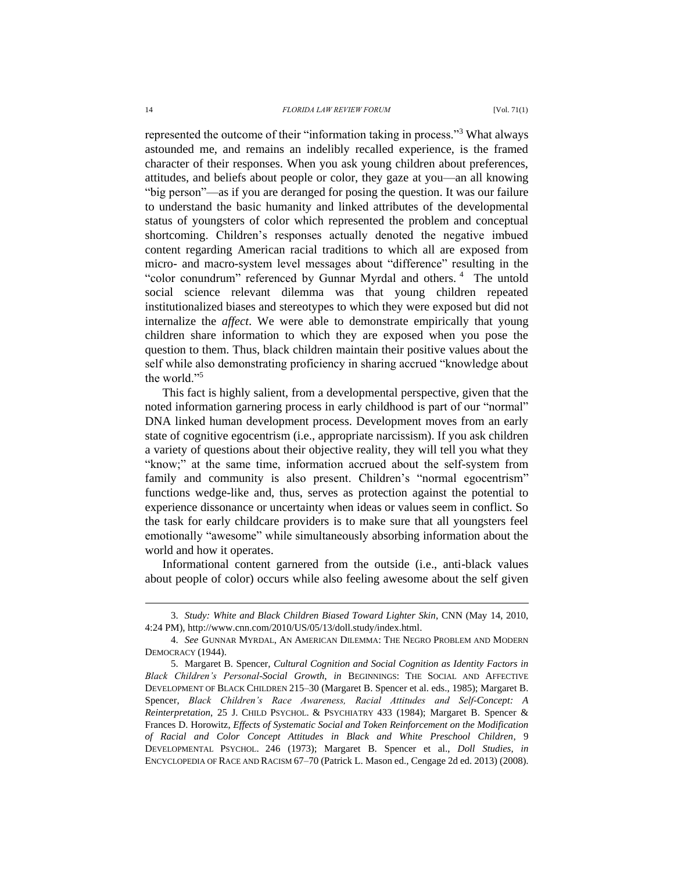represented the outcome of their "information taking in process."<sup>3</sup> What always astounded me, and remains an indelibly recalled experience, is the framed character of their responses. When you ask young children about preferences, attitudes, and beliefs about people or color, they gaze at you—an all knowing "big person"—as if you are deranged for posing the question. It was our failure to understand the basic humanity and linked attributes of the developmental status of youngsters of color which represented the problem and conceptual shortcoming. Children's responses actually denoted the negative imbued content regarding American racial traditions to which all are exposed from micro- and macro-system level messages about "difference" resulting in the "color conundrum" referenced by Gunnar Myrdal and others.<sup>4</sup> The untold social science relevant dilemma was that young children repeated institutionalized biases and stereotypes to which they were exposed but did not internalize the *affect*. We were able to demonstrate empirically that young children share information to which they are exposed when you pose the question to them. Thus, black children maintain their positive values about the self while also demonstrating proficiency in sharing accrued "knowledge about the world."<sup>5</sup>

This fact is highly salient, from a developmental perspective, given that the noted information garnering process in early childhood is part of our "normal" DNA linked human development process. Development moves from an early state of cognitive egocentrism (i.e., appropriate narcissism). If you ask children a variety of questions about their objective reality, they will tell you what they "know;" at the same time, information accrued about the self-system from family and community is also present. Children's "normal egocentrism" functions wedge-like and, thus, serves as protection against the potential to experience dissonance or uncertainty when ideas or values seem in conflict. So the task for early childcare providers is to make sure that all youngsters feel emotionally "awesome" while simultaneously absorbing information about the world and how it operates.

Informational content garnered from the outside (i.e., anti-black values about people of color) occurs while also feeling awesome about the self given

<sup>3.</sup> *Study: White and Black Children Biased Toward Lighter Skin*, CNN (May 14, 2010, 4:24 PM), http://www.cnn.com/2010/US/05/13/doll.study/index.html.

<sup>4.</sup> *See* GUNNAR MYRDAL, AN AMERICAN DILEMMA: THE NEGRO PROBLEM AND MODERN DEMOCRACY (1944).

<sup>5.</sup> Margaret B. Spencer, *Cultural Cognition and Social Cognition as Identity Factors in Black Children's Personal-Social Growth*, *in* BEGINNINGS: THE SOCIAL AND AFFECTIVE DEVELOPMENT OF BLACK CHILDREN 215–30 (Margaret B. Spencer et al. eds., 1985); Margaret B. Spencer, *Black Children's Race Awareness, Racial Attitudes and Self-Concept: A Reinterpretation*, 25 J. CHILD PSYCHOL. & PSYCHIATRY 433 (1984); Margaret B. Spencer & Frances D. Horowitz, *Effects of Systematic Social and Token Reinforcement on the Modification of Racial and Color Concept Attitudes in Black and White Preschool Children*, 9 DEVELOPMENTAL PSYCHOL. 246 (1973); Margaret B. Spencer et al., *Doll Studies*, *in*  ENCYCLOPEDIA OF RACE AND RACISM 67–70 (Patrick L. Mason ed., Cengage 2d ed. 2013) (2008).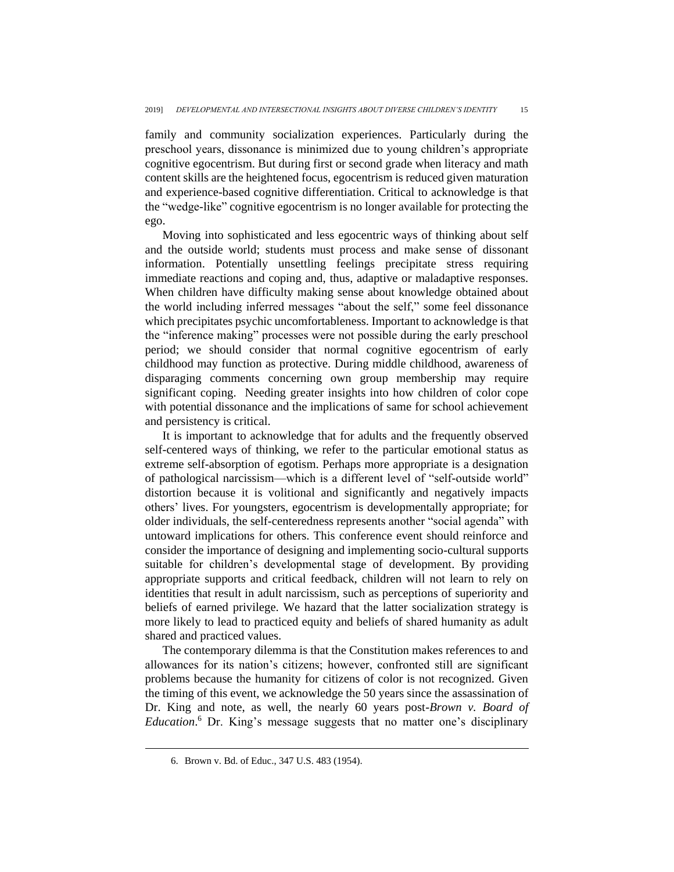family and community socialization experiences. Particularly during the preschool years, dissonance is minimized due to young children's appropriate cognitive egocentrism. But during first or second grade when literacy and math content skills are the heightened focus, egocentrism is reduced given maturation and experience-based cognitive differentiation. Critical to acknowledge is that the "wedge-like" cognitive egocentrism is no longer available for protecting the ego.

Moving into sophisticated and less egocentric ways of thinking about self and the outside world; students must process and make sense of dissonant information. Potentially unsettling feelings precipitate stress requiring immediate reactions and coping and, thus, adaptive or maladaptive responses. When children have difficulty making sense about knowledge obtained about the world including inferred messages "about the self," some feel dissonance which precipitates psychic uncomfortableness. Important to acknowledge is that the "inference making" processes were not possible during the early preschool period; we should consider that normal cognitive egocentrism of early childhood may function as protective. During middle childhood, awareness of disparaging comments concerning own group membership may require significant coping. Needing greater insights into how children of color cope with potential dissonance and the implications of same for school achievement and persistency is critical.

It is important to acknowledge that for adults and the frequently observed self-centered ways of thinking, we refer to the particular emotional status as extreme self-absorption of egotism. Perhaps more appropriate is a designation of pathological narcissism—which is a different level of "self-outside world" distortion because it is volitional and significantly and negatively impacts others' lives. For youngsters, egocentrism is developmentally appropriate; for older individuals, the self-centeredness represents another "social agenda" with untoward implications for others. This conference event should reinforce and consider the importance of designing and implementing socio-cultural supports suitable for children's developmental stage of development. By providing appropriate supports and critical feedback, children will not learn to rely on identities that result in adult narcissism, such as perceptions of superiority and beliefs of earned privilege. We hazard that the latter socialization strategy is more likely to lead to practiced equity and beliefs of shared humanity as adult shared and practiced values.

The contemporary dilemma is that the Constitution makes references to and allowances for its nation's citizens; however, confronted still are significant problems because the humanity for citizens of color is not recognized. Given the timing of this event, we acknowledge the 50 years since the assassination of Dr. King and note, as well, the nearly 60 years post-*Brown v. Board of Education*. <sup>6</sup> Dr. King's message suggests that no matter one's disciplinary

<sup>6.</sup> Brown v. Bd. of Educ., 347 U.S. 483 (1954).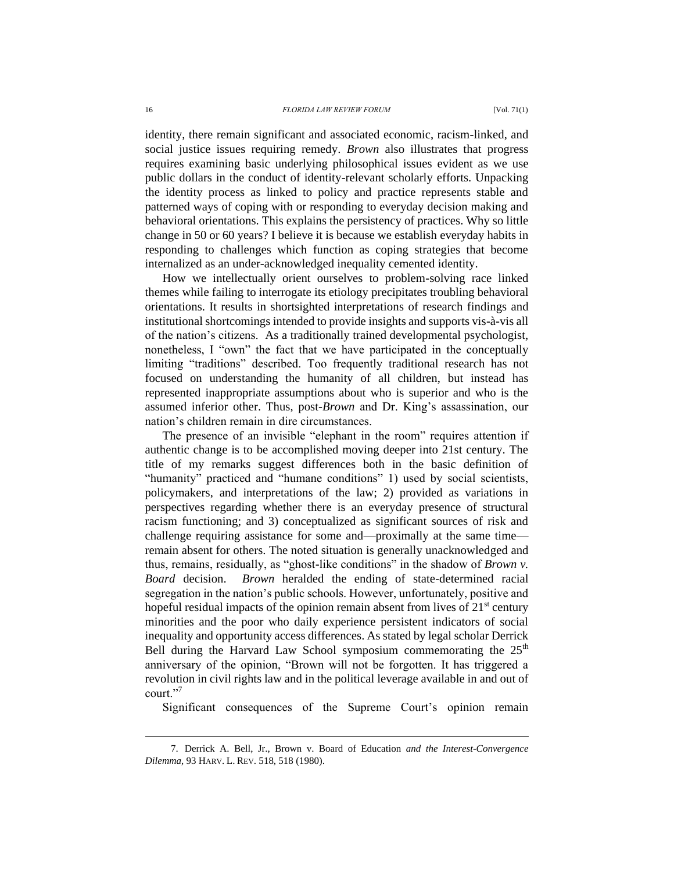identity, there remain significant and associated economic, racism-linked, and social justice issues requiring remedy. *Brown* also illustrates that progress requires examining basic underlying philosophical issues evident as we use public dollars in the conduct of identity-relevant scholarly efforts. Unpacking the identity process as linked to policy and practice represents stable and patterned ways of coping with or responding to everyday decision making and behavioral orientations. This explains the persistency of practices. Why so little change in 50 or 60 years? I believe it is because we establish everyday habits in responding to challenges which function as coping strategies that become internalized as an under-acknowledged inequality cemented identity.

How we intellectually orient ourselves to problem-solving race linked themes while failing to interrogate its etiology precipitates troubling behavioral orientations. It results in shortsighted interpretations of research findings and institutional shortcomings intended to provide insights and supports vis-à-vis all of the nation's citizens. As a traditionally trained developmental psychologist, nonetheless, I "own" the fact that we have participated in the conceptually limiting "traditions" described. Too frequently traditional research has not focused on understanding the humanity of all children, but instead has represented inappropriate assumptions about who is superior and who is the assumed inferior other. Thus, post-*Brown* and Dr. King's assassination, our nation's children remain in dire circumstances.

The presence of an invisible "elephant in the room" requires attention if authentic change is to be accomplished moving deeper into 21st century. The title of my remarks suggest differences both in the basic definition of "humanity" practiced and "humane conditions" 1) used by social scientists, policymakers, and interpretations of the law; 2) provided as variations in perspectives regarding whether there is an everyday presence of structural racism functioning; and 3) conceptualized as significant sources of risk and challenge requiring assistance for some and—proximally at the same time remain absent for others. The noted situation is generally unacknowledged and thus, remains, residually, as "ghost-like conditions" in the shadow of *Brown v. Board* decision. *Brown* heralded the ending of state-determined racial segregation in the nation's public schools. However, unfortunately, positive and hopeful residual impacts of the opinion remain absent from lives of  $21<sup>st</sup>$  century minorities and the poor who daily experience persistent indicators of social inequality and opportunity access differences. As stated by legal scholar Derrick Bell during the Harvard Law School symposium commemorating the  $25<sup>th</sup>$ anniversary of the opinion, "Brown will not be forgotten. It has triggered a revolution in civil rights law and in the political leverage available in and out of court."<sup>7</sup>

Significant consequences of the Supreme Court's opinion remain

<sup>7.</sup> Derrick A. Bell, Jr., Brown v. Board of Education *and the Interest-Convergence Dilemma*, 93 HARV. L. REV. 518, 518 (1980).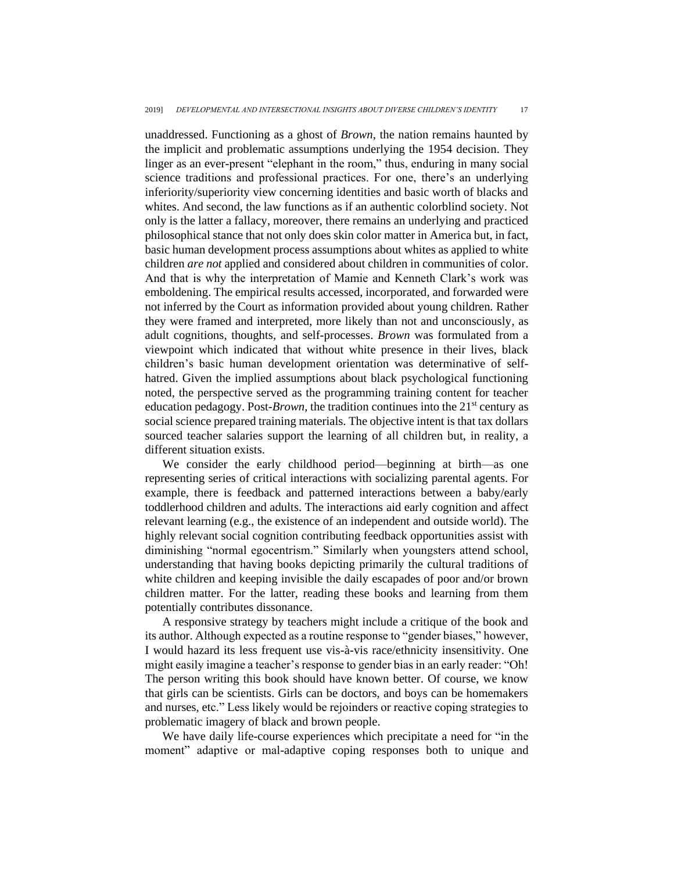unaddressed. Functioning as a ghost of *Brown*, the nation remains haunted by the implicit and problematic assumptions underlying the 1954 decision. They linger as an ever-present "elephant in the room," thus, enduring in many social science traditions and professional practices. For one, there's an underlying inferiority/superiority view concerning identities and basic worth of blacks and whites. And second, the law functions as if an authentic colorblind society. Not only is the latter a fallacy, moreover, there remains an underlying and practiced philosophical stance that not only does skin color matter in America but, in fact, basic human development process assumptions about whites as applied to white children *are not* applied and considered about children in communities of color. And that is why the interpretation of Mamie and Kenneth Clark's work was emboldening. The empirical results accessed, incorporated, and forwarded were not inferred by the Court as information provided about young children*.* Rather they were framed and interpreted, more likely than not and unconsciously, as adult cognitions, thoughts, and self-processes. *Brown* was formulated from a viewpoint which indicated that without white presence in their lives, black children's basic human development orientation was determinative of selfhatred. Given the implied assumptions about black psychological functioning noted, the perspective served as the programming training content for teacher education pedagogy. Post-*Brown*, the tradition continues into the 21<sup>st</sup> century as social science prepared training materials. The objective intent is that tax dollars sourced teacher salaries support the learning of all children but, in reality, a different situation exists.

We consider the early childhood period—beginning at birth—as one representing series of critical interactions with socializing parental agents. For example, there is feedback and patterned interactions between a baby/early toddlerhood children and adults. The interactions aid early cognition and affect relevant learning (e.g., the existence of an independent and outside world). The highly relevant social cognition contributing feedback opportunities assist with diminishing "normal egocentrism." Similarly when youngsters attend school, understanding that having books depicting primarily the cultural traditions of white children and keeping invisible the daily escapades of poor and/or brown children matter. For the latter, reading these books and learning from them potentially contributes dissonance.

A responsive strategy by teachers might include a critique of the book and its author. Although expected as a routine response to "gender biases," however, I would hazard its less frequent use vis-à-vis race/ethnicity insensitivity. One might easily imagine a teacher's response to gender bias in an early reader: "Oh! The person writing this book should have known better. Of course, we know that girls can be scientists. Girls can be doctors, and boys can be homemakers and nurses, etc." Less likely would be rejoinders or reactive coping strategies to problematic imagery of black and brown people.

We have daily life-course experiences which precipitate a need for "in the moment" adaptive or mal-adaptive coping responses both to unique and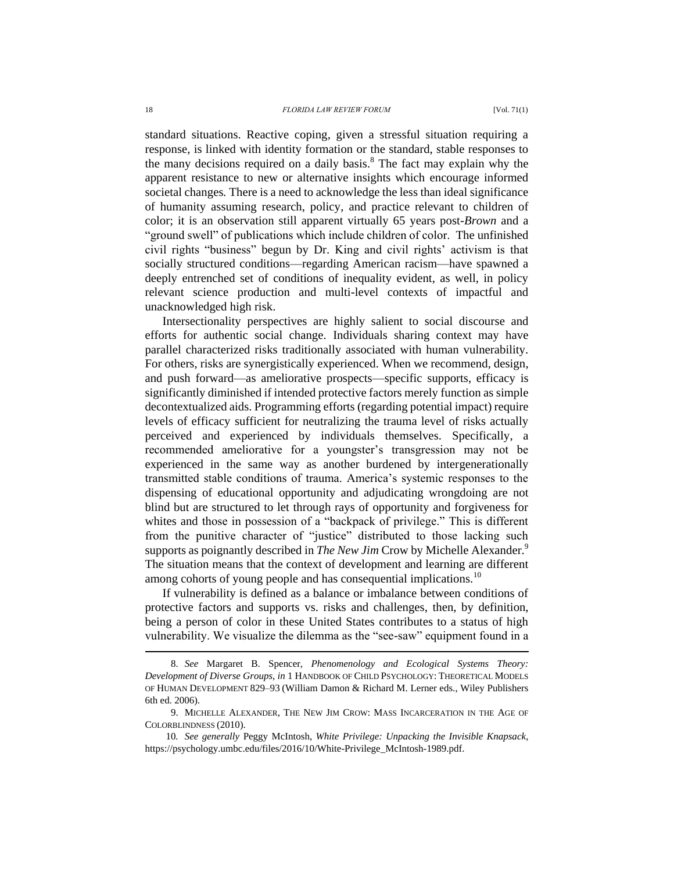standard situations. Reactive coping, given a stressful situation requiring a response, is linked with identity formation or the standard, stable responses to the many decisions required on a daily basis. <sup>8</sup> The fact may explain why the apparent resistance to new or alternative insights which encourage informed societal changes*.* There is a need to acknowledge the less than ideal significance of humanity assuming research, policy, and practice relevant to children of color; it is an observation still apparent virtually 65 years post-*Brown* and a "ground swell" of publications which include children of color. The unfinished civil rights "business" begun by Dr. King and civil rights' activism is that socially structured conditions—regarding American racism—have spawned a deeply entrenched set of conditions of inequality evident, as well, in policy relevant science production and multi-level contexts of impactful and unacknowledged high risk.

Intersectionality perspectives are highly salient to social discourse and efforts for authentic social change. Individuals sharing context may have parallel characterized risks traditionally associated with human vulnerability. For others, risks are synergistically experienced. When we recommend, design, and push forward—as ameliorative prospects—specific supports, efficacy is significantly diminished if intended protective factors merely function as simple decontextualized aids. Programming efforts (regarding potential impact) require levels of efficacy sufficient for neutralizing the trauma level of risks actually perceived and experienced by individuals themselves. Specifically, a recommended ameliorative for a youngster's transgression may not be experienced in the same way as another burdened by intergenerationally transmitted stable conditions of trauma. America's systemic responses to the dispensing of educational opportunity and adjudicating wrongdoing are not blind but are structured to let through rays of opportunity and forgiveness for whites and those in possession of a "backpack of privilege." This is different from the punitive character of "justice" distributed to those lacking such supports as poignantly described in *The New Jim* Crow by Michelle Alexander.<sup>9</sup> The situation means that the context of development and learning are different among cohorts of young people and has consequential implications.<sup>10</sup>

If vulnerability is defined as a balance or imbalance between conditions of protective factors and supports vs. risks and challenges, then, by definition, being a person of color in these United States contributes to a status of high vulnerability. We visualize the dilemma as the "see-saw" equipment found in a

<sup>8.</sup> *See* Margaret B. Spencer, *Phenomenology and Ecological Systems Theory: Development of Diverse Groups*, *in* 1 HANDBOOK OF CHILD PSYCHOLOGY: THEORETICAL MODELS OF HUMAN DEVELOPMENT 829–93 (William Damon & Richard M. Lerner eds., Wiley Publishers 6th ed. 2006).

<sup>9.</sup> MICHELLE ALEXANDER, THE NEW JIM CROW: MASS INCARCERATION IN THE AGE OF COLORBLINDNESS (2010).

<sup>10</sup>*. See generally* Peggy McIntosh, *White Privilege: Unpacking the Invisible Knapsack*, https://psychology.umbc.edu/files/2016/10/White-Privilege\_McIntosh-1989.pdf.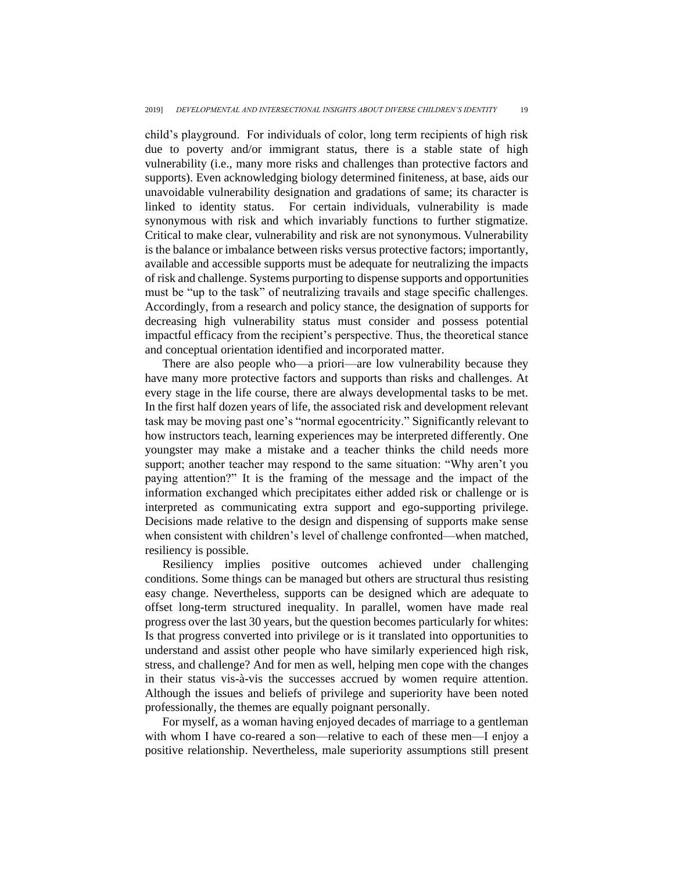child's playground. For individuals of color, long term recipients of high risk due to poverty and/or immigrant status, there is a stable state of high vulnerability (i.e., many more risks and challenges than protective factors and supports). Even acknowledging biology determined finiteness, at base, aids our unavoidable vulnerability designation and gradations of same; its character is linked to identity status. For certain individuals, vulnerability is made synonymous with risk and which invariably functions to further stigmatize. Critical to make clear, vulnerability and risk are not synonymous. Vulnerability is the balance or imbalance between risks versus protective factors; importantly, available and accessible supports must be adequate for neutralizing the impacts of risk and challenge. Systems purporting to dispense supports and opportunities must be "up to the task" of neutralizing travails and stage specific challenges. Accordingly, from a research and policy stance, the designation of supports for decreasing high vulnerability status must consider and possess potential impactful efficacy from the recipient's perspective. Thus, the theoretical stance and conceptual orientation identified and incorporated matter.

There are also people who—a priori—are low vulnerability because they have many more protective factors and supports than risks and challenges. At every stage in the life course, there are always developmental tasks to be met. In the first half dozen years of life, the associated risk and development relevant task may be moving past one's "normal egocentricity." Significantly relevant to how instructors teach, learning experiences may be interpreted differently. One youngster may make a mistake and a teacher thinks the child needs more support; another teacher may respond to the same situation: "Why aren't you paying attention?" It is the framing of the message and the impact of the information exchanged which precipitates either added risk or challenge or is interpreted as communicating extra support and ego-supporting privilege. Decisions made relative to the design and dispensing of supports make sense when consistent with children's level of challenge confronted—when matched, resiliency is possible.

Resiliency implies positive outcomes achieved under challenging conditions. Some things can be managed but others are structural thus resisting easy change. Nevertheless, supports can be designed which are adequate to offset long-term structured inequality. In parallel, women have made real progress over the last 30 years, but the question becomes particularly for whites: Is that progress converted into privilege or is it translated into opportunities to understand and assist other people who have similarly experienced high risk, stress, and challenge? And for men as well, helping men cope with the changes in their status vis-à-vis the successes accrued by women require attention. Although the issues and beliefs of privilege and superiority have been noted professionally, the themes are equally poignant personally.

For myself, as a woman having enjoyed decades of marriage to a gentleman with whom I have co-reared a son—relative to each of these men—I enjoy a positive relationship. Nevertheless, male superiority assumptions still present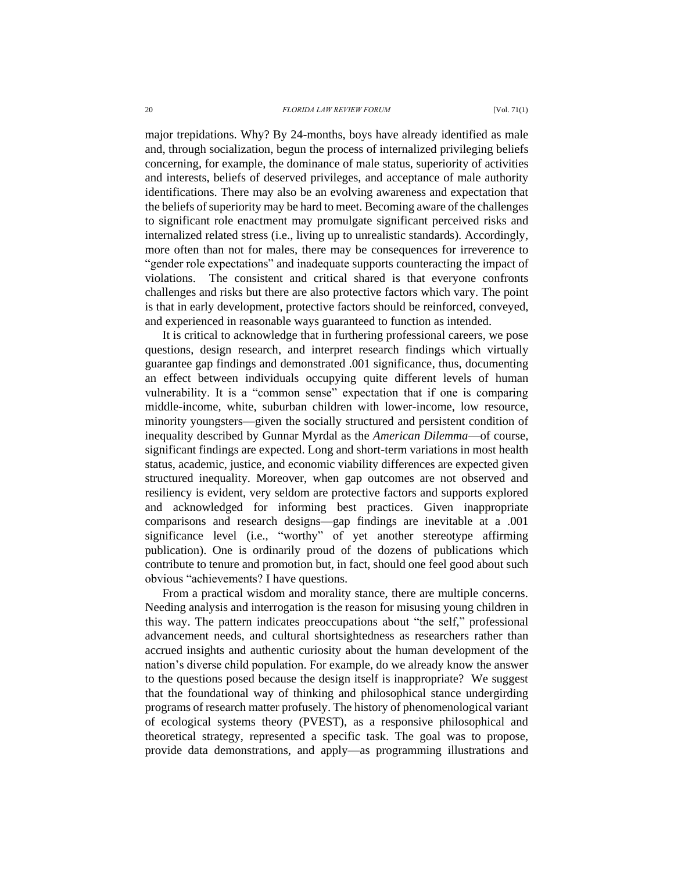major trepidations. Why? By 24-months, boys have already identified as male and, through socialization, begun the process of internalized privileging beliefs concerning, for example, the dominance of male status, superiority of activities and interests, beliefs of deserved privileges, and acceptance of male authority identifications. There may also be an evolving awareness and expectation that the beliefs of superiority may be hard to meet. Becoming aware of the challenges to significant role enactment may promulgate significant perceived risks and internalized related stress (i.e., living up to unrealistic standards). Accordingly, more often than not for males, there may be consequences for irreverence to "gender role expectations" and inadequate supports counteracting the impact of violations. The consistent and critical shared is that everyone confronts challenges and risks but there are also protective factors which vary. The point is that in early development, protective factors should be reinforced, conveyed, and experienced in reasonable ways guaranteed to function as intended.

It is critical to acknowledge that in furthering professional careers, we pose questions, design research, and interpret research findings which virtually guarantee gap findings and demonstrated .001 significance, thus, documenting an effect between individuals occupying quite different levels of human vulnerability. It is a "common sense" expectation that if one is comparing middle-income, white, suburban children with lower-income, low resource, minority youngsters—given the socially structured and persistent condition of inequality described by Gunnar Myrdal as the *American Dilemma*—of course, significant findings are expected. Long and short-term variations in most health status, academic, justice, and economic viability differences are expected given structured inequality. Moreover, when gap outcomes are not observed and resiliency is evident, very seldom are protective factors and supports explored and acknowledged for informing best practices. Given inappropriate comparisons and research designs—gap findings are inevitable at a .001 significance level (i.e., "worthy" of yet another stereotype affirming publication). One is ordinarily proud of the dozens of publications which contribute to tenure and promotion but, in fact, should one feel good about such obvious "achievements? I have questions.

From a practical wisdom and morality stance, there are multiple concerns. Needing analysis and interrogation is the reason for misusing young children in this way. The pattern indicates preoccupations about "the self," professional advancement needs, and cultural shortsightedness as researchers rather than accrued insights and authentic curiosity about the human development of the nation's diverse child population. For example, do we already know the answer to the questions posed because the design itself is inappropriate? We suggest that the foundational way of thinking and philosophical stance undergirding programs of research matter profusely. The history of phenomenological variant of ecological systems theory (PVEST), as a responsive philosophical and theoretical strategy, represented a specific task. The goal was to propose, provide data demonstrations, and apply—as programming illustrations and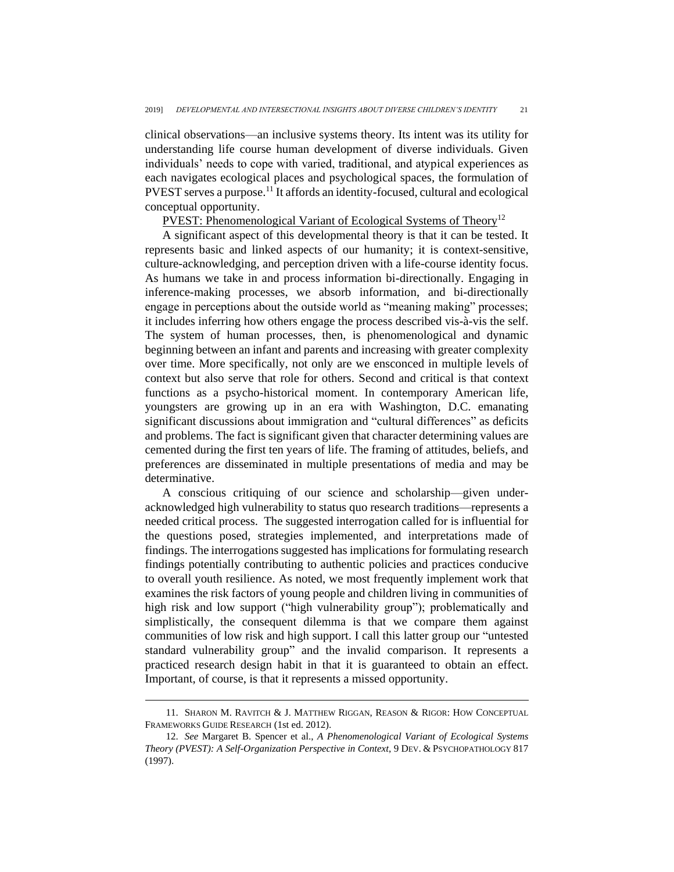clinical observations—an inclusive systems theory. Its intent was its utility for understanding life course human development of diverse individuals. Given individuals' needs to cope with varied, traditional, and atypical experiences as each navigates ecological places and psychological spaces, the formulation of PVEST serves a purpose.<sup>11</sup> It affords an identity-focused, cultural and ecological conceptual opportunity.

PVEST: Phenomenological Variant of Ecological Systems of Theory<sup>12</sup>

A significant aspect of this developmental theory is that it can be tested. It represents basic and linked aspects of our humanity; it is context-sensitive, culture-acknowledging, and perception driven with a life-course identity focus. As humans we take in and process information bi-directionally. Engaging in inference-making processes, we absorb information, and bi-directionally engage in perceptions about the outside world as "meaning making" processes; it includes inferring how others engage the process described vis-à-vis the self. The system of human processes, then, is phenomenological and dynamic beginning between an infant and parents and increasing with greater complexity over time. More specifically, not only are we ensconced in multiple levels of context but also serve that role for others. Second and critical is that context functions as a psycho-historical moment. In contemporary American life, youngsters are growing up in an era with Washington, D.C. emanating significant discussions about immigration and "cultural differences" as deficits and problems. The fact is significant given that character determining values are cemented during the first ten years of life. The framing of attitudes, beliefs, and preferences are disseminated in multiple presentations of media and may be determinative.

A conscious critiquing of our science and scholarship—given underacknowledged high vulnerability to status quo research traditions—represents a needed critical process. The suggested interrogation called for is influential for the questions posed, strategies implemented, and interpretations made of findings. The interrogations suggested has implications for formulating research findings potentially contributing to authentic policies and practices conducive to overall youth resilience. As noted, we most frequently implement work that examines the risk factors of young people and children living in communities of high risk and low support ("high vulnerability group"); problematically and simplistically, the consequent dilemma is that we compare them against communities of low risk and high support. I call this latter group our "untested standard vulnerability group" and the invalid comparison. It represents a practiced research design habit in that it is guaranteed to obtain an effect. Important, of course, is that it represents a missed opportunity.

<sup>11.</sup> SHARON M. RAVITCH & J. MATTHEW RIGGAN, REASON & RIGOR: HOW CONCEPTUAL FRAMEWORKS GUIDE RESEARCH (1st ed. 2012).

<sup>12.</sup> *See* Margaret B. Spencer et al., *A Phenomenological Variant of Ecological Systems Theory (PVEST): A Self-Organization Perspective in Context*, 9 DEV. & PSYCHOPATHOLOGY 817 (1997).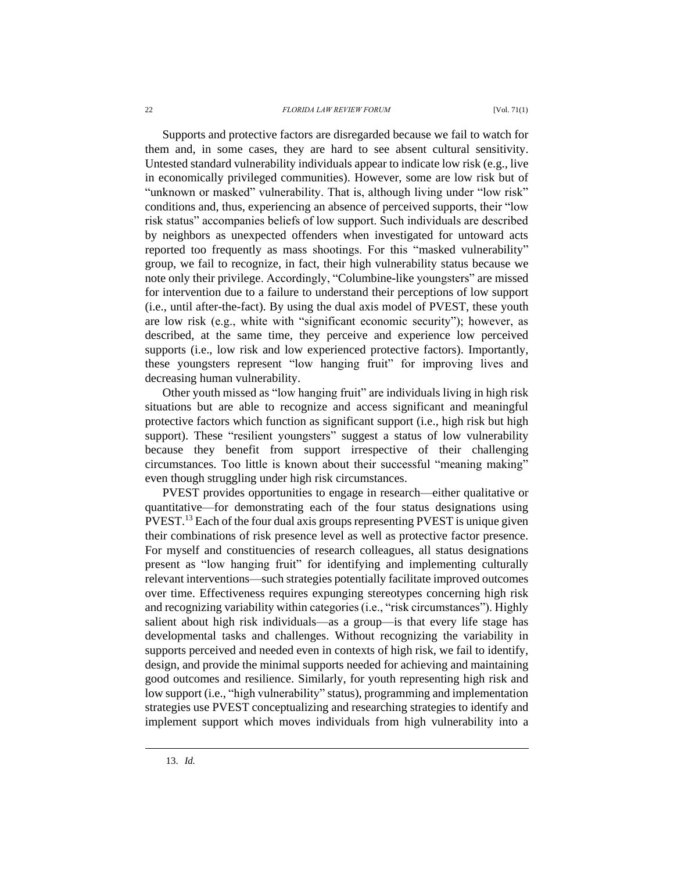Supports and protective factors are disregarded because we fail to watch for them and, in some cases, they are hard to see absent cultural sensitivity. Untested standard vulnerability individuals appear to indicate low risk (e.g., live in economically privileged communities). However, some are low risk but of "unknown or masked" vulnerability. That is, although living under "low risk" conditions and, thus, experiencing an absence of perceived supports, their "low risk status" accompanies beliefs of low support. Such individuals are described by neighbors as unexpected offenders when investigated for untoward acts reported too frequently as mass shootings. For this "masked vulnerability" group, we fail to recognize, in fact, their high vulnerability status because we note only their privilege. Accordingly, "Columbine-like youngsters" are missed for intervention due to a failure to understand their perceptions of low support (i.e., until after-the-fact). By using the dual axis model of PVEST, these youth are low risk (e.g., white with "significant economic security"); however, as described, at the same time, they perceive and experience low perceived supports (i.e., low risk and low experienced protective factors). Importantly, these youngsters represent "low hanging fruit" for improving lives and decreasing human vulnerability.

Other youth missed as "low hanging fruit" are individuals living in high risk situations but are able to recognize and access significant and meaningful protective factors which function as significant support (i.e., high risk but high support). These "resilient youngsters" suggest a status of low vulnerability because they benefit from support irrespective of their challenging circumstances. Too little is known about their successful "meaning making" even though struggling under high risk circumstances.

PVEST provides opportunities to engage in research—either qualitative or quantitative—for demonstrating each of the four status designations using PVEST.<sup>13</sup> Each of the four dual axis groups representing PVEST is unique given their combinations of risk presence level as well as protective factor presence. For myself and constituencies of research colleagues, all status designations present as "low hanging fruit" for identifying and implementing culturally relevant interventions—such strategies potentially facilitate improved outcomes over time. Effectiveness requires expunging stereotypes concerning high risk and recognizing variability within categories (i.e., "risk circumstances"). Highly salient about high risk individuals—as a group—is that every life stage has developmental tasks and challenges. Without recognizing the variability in supports perceived and needed even in contexts of high risk, we fail to identify, design, and provide the minimal supports needed for achieving and maintaining good outcomes and resilience. Similarly, for youth representing high risk and low support (i.e., "high vulnerability" status), programming and implementation strategies use PVEST conceptualizing and researching strategies to identify and implement support which moves individuals from high vulnerability into a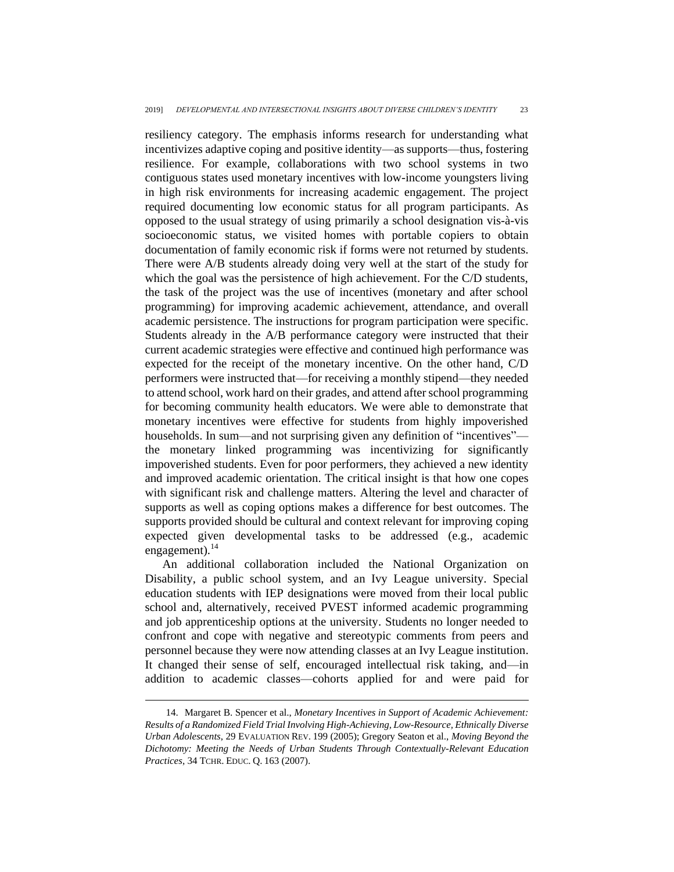resiliency category. The emphasis informs research for understanding what incentivizes adaptive coping and positive identity—as supports—thus, fostering resilience. For example, collaborations with two school systems in two contiguous states used monetary incentives with low-income youngsters living in high risk environments for increasing academic engagement. The project required documenting low economic status for all program participants. As opposed to the usual strategy of using primarily a school designation vis-à-vis socioeconomic status, we visited homes with portable copiers to obtain documentation of family economic risk if forms were not returned by students. There were A/B students already doing very well at the start of the study for which the goal was the persistence of high achievement. For the C/D students, the task of the project was the use of incentives (monetary and after school programming) for improving academic achievement, attendance, and overall academic persistence. The instructions for program participation were specific. Students already in the A/B performance category were instructed that their current academic strategies were effective and continued high performance was expected for the receipt of the monetary incentive. On the other hand, C/D performers were instructed that—for receiving a monthly stipend—they needed to attend school, work hard on their grades, and attend after school programming for becoming community health educators. We were able to demonstrate that monetary incentives were effective for students from highly impoverished households. In sum—and not surprising given any definition of "incentives" the monetary linked programming was incentivizing for significantly impoverished students. Even for poor performers, they achieved a new identity and improved academic orientation. The critical insight is that how one copes with significant risk and challenge matters. Altering the level and character of supports as well as coping options makes a difference for best outcomes. The supports provided should be cultural and context relevant for improving coping expected given developmental tasks to be addressed (e.g., academic engagement). $^{14}$ 

<span id="page-11-0"></span>An additional collaboration included the National Organization on Disability, a public school system, and an Ivy League university. Special education students with IEP designations were moved from their local public school and, alternatively, received PVEST informed academic programming and job apprenticeship options at the university. Students no longer needed to confront and cope with negative and stereotypic comments from peers and personnel because they were now attending classes at an Ivy League institution. It changed their sense of self, encouraged intellectual risk taking, and—in addition to academic classes—cohorts applied for and were paid for

<sup>14.</sup> Margaret B. Spencer et al., *Monetary Incentives in Support of Academic Achievement: Results of a Randomized Field Trial Involving High-Achieving, Low-Resource, Ethnically Diverse Urban Adolescents*, 29 EVALUATION REV. 199 (2005); Gregory Seaton et al., *Moving Beyond the Dichotomy: Meeting the Needs of Urban Students Through Contextually-Relevant Education Practices*, 34 TCHR. EDUC. Q. 163 (2007).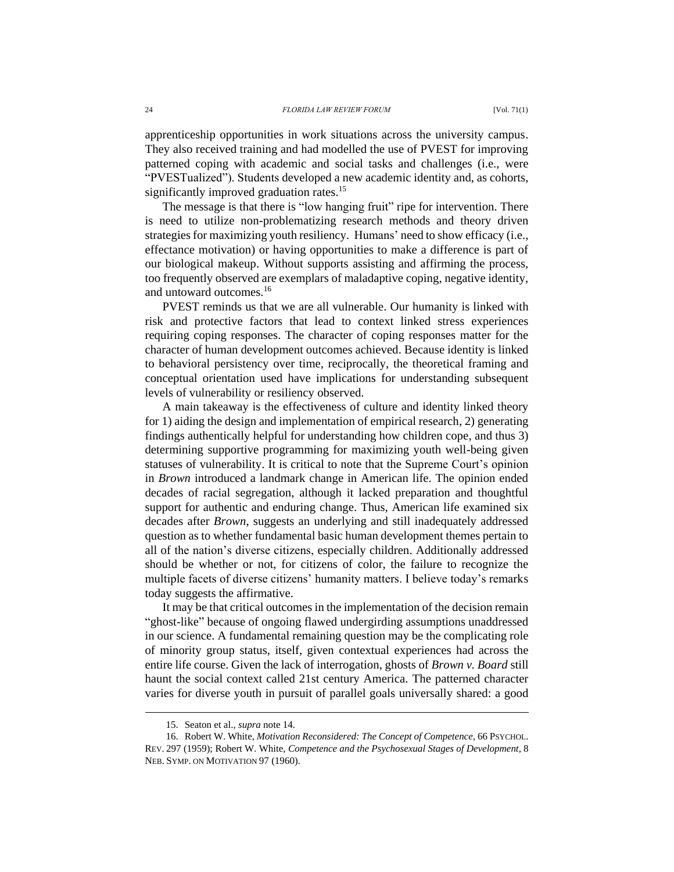apprenticeship opportunities in work situations across the university campus. They also received training and had modelled the use of PVEST for improving patterned coping with academic and social tasks and challenges (i.e., were "PVESTualized"). Students developed a new academic identity and, as cohorts, significantly improved graduation rates.<sup>15</sup>

The message is that there is "low hanging fruit" ripe for intervention. There is need to utilize non-problematizing research methods and theory driven strategies for maximizing youth resiliency. Humans' need to show efficacy (i.e., effectance motivation) or having opportunities to make a difference is part of our biological makeup. Without supports assisting and affirming the process, too frequently observed are exemplars of maladaptive coping, negative identity, and untoward outcomes.<sup>16</sup>

PVEST reminds us that we are all vulnerable. Our humanity is linked with risk and protective factors that lead to context linked stress experiences requiring coping responses. The character of coping responses matter for the character of human development outcomes achieved. Because identity is linked to behavioral persistency over time, reciprocally, the theoretical framing and conceptual orientation used have implications for understanding subsequent levels of vulnerability or resiliency observed.

A main takeaway is the effectiveness of culture and identity linked theory for 1) aiding the design and implementation of empirical research, 2) generating findings authentically helpful for understanding how children cope, and thus 3) determining supportive programming for maximizing youth well-being given statuses of vulnerability. It is critical to note that the Supreme Court's opinion in *Brown* introduced a landmark change in American life. The opinion ended decades of racial segregation, although it lacked preparation and thoughtful support for authentic and enduring change. Thus, American life examined six decades after *Brown*, suggests an underlying and still inadequately addressed question as to whether fundamental basic human development themes pertain to all of the nation's diverse citizens, especially children. Additionally addressed should be whether or not, for citizens of color, the failure to recognize the multiple facets of diverse citizens' humanity matters. I believe today's remarks today suggests the affirmative.

It may be that critical outcomes in the implementation of the decision remain "ghost-like" because of ongoing flawed undergirding assumptions unaddressed in our science. A fundamental remaining question may be the complicating role of minority group status, itself, given contextual experiences had across the entire life course. Given the lack of interrogation, ghosts of *Brown v. Board* still haunt the social context called 21st century America. The patterned character varies for diverse youth in pursuit of parallel goals universally shared: a good

<sup>15.</sup> Seaton et al., *supra* note [14.](#page-11-0)

<sup>16.</sup> Robert W. White, *Motivation Reconsidered: The Concept of Competence*, 66 PSYCHOL. REV. 297 (1959); Robert W. White, *Competence and the Psychosexual Stages of Development*, 8 NEB. SYMP. ON MOTIVATION 97 (1960).